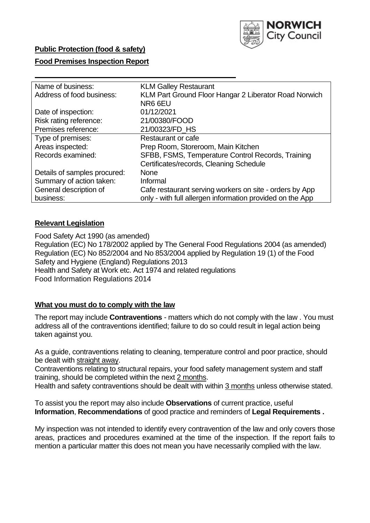

## **Public Protection (food & safety)**

## **Food Premises Inspection Report**

| Name of business:            | <b>KLM Galley Restaurant</b>                              |
|------------------------------|-----------------------------------------------------------|
| Address of food business:    | KLM Part Ground Floor Hangar 2 Liberator Road Norwich     |
|                              | NR6 6EU                                                   |
| Date of inspection:          | 01/12/2021                                                |
| Risk rating reference:       | 21/00380/FOOD                                             |
| Premises reference:          | 21/00323/FD_HS                                            |
| Type of premises:            | Restaurant or cafe                                        |
| Areas inspected:             | Prep Room, Storeroom, Main Kitchen                        |
| Records examined:            | SFBB, FSMS, Temperature Control Records, Training         |
|                              | Certificates/records, Cleaning Schedule                   |
| Details of samples procured: | <b>None</b>                                               |
| Summary of action taken:     | Informal                                                  |
| General description of       | Cafe restaurant serving workers on site - orders by App   |
| business:                    | only - with full allergen information provided on the App |
|                              |                                                           |

## **Relevant Legislation**

 Food Safety Act 1990 (as amended) Regulation (EC) No 178/2002 applied by The General Food Regulations 2004 (as amended) Regulation (EC) No 852/2004 and No 853/2004 applied by Regulation 19 (1) of the Food Safety and Hygiene (England) Regulations 2013 Health and Safety at Work etc. Act 1974 and related regulations Food Information Regulations 2014

## **What you must do to comply with the law**

 The report may include **Contraventions** - matters which do not comply with the law . You must address all of the contraventions identified; failure to do so could result in legal action being taken against you.

 As a guide, contraventions relating to cleaning, temperature control and poor practice, should be dealt with straight away.

 Contraventions relating to structural repairs, your food safety management system and staff training, should be completed within the next 2 months.

Health and safety contraventions should be dealt with within 3 months unless otherwise stated.

 To assist you the report may also include **Observations** of current practice, useful **Information**, **Recommendations** of good practice and reminders of **Legal Requirements .** 

 My inspection was not intended to identify every contravention of the law and only covers those areas, practices and procedures examined at the time of the inspection. If the report fails to mention a particular matter this does not mean you have necessarily complied with the law.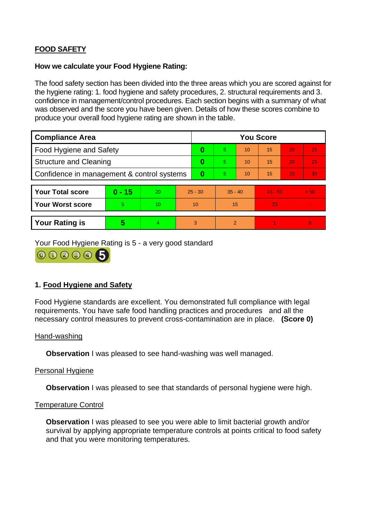# **FOOD SAFETY**

### **How we calculate your Food Hygiene Rating:**

 The food safety section has been divided into the three areas which you are scored against for the hygiene rating: 1. food hygiene and safety procedures, 2. structural requirements and 3. confidence in management/control procedures. Each section begins with a summary of what was observed and the score you have been given. Details of how these scores combine to produce your overall food hygiene rating are shown in the table.

| <b>Compliance Area</b>                     |          |    |           | <b>You Score</b> |                |    |           |    |                |  |  |
|--------------------------------------------|----------|----|-----------|------------------|----------------|----|-----------|----|----------------|--|--|
| Food Hygiene and Safety                    |          |    | 0         | 5.               | 10             | 15 | 20        | 25 |                |  |  |
| <b>Structure and Cleaning</b>              |          |    | 0         | 5                | 10             | 15 | 20        | 25 |                |  |  |
| Confidence in management & control systems |          |    | 0         | 5                | 10             | 15 | 20        | 30 |                |  |  |
|                                            |          |    |           |                  |                |    |           |    |                |  |  |
| <b>Your Total score</b>                    | $0 - 15$ | 20 | $25 - 30$ |                  | $35 - 40$      |    | $45 - 50$ |    | > 50           |  |  |
| <b>Your Worst score</b>                    | 5        | 10 | 10        |                  | 15             |    | 20        |    | $\blacksquare$ |  |  |
|                                            |          |    |           |                  |                |    |           |    |                |  |  |
| <b>Your Rating is</b>                      | 5        | 4. | 3         |                  | $\overline{2}$ |    |           |    | $\Omega$       |  |  |

Your Food Hygiene Rating is 5 - a very good standard



# **1. Food Hygiene and Safety**

 requirements. You have safe food handling practices and procedures and all the Food Hygiene standards are excellent. You demonstrated full compliance with legal necessary control measures to prevent cross-contamination are in place. **(Score 0)** 

## Hand-washing

**Observation** I was pleased to see hand-washing was well managed.

## Personal Hygiene

**Observation** I was pleased to see that standards of personal hygiene were high.

#### Temperature Control

**Observation** I was pleased to see you were able to limit bacterial growth and/or survival by applying appropriate temperature controls at points critical to food safety and that you were monitoring temperatures.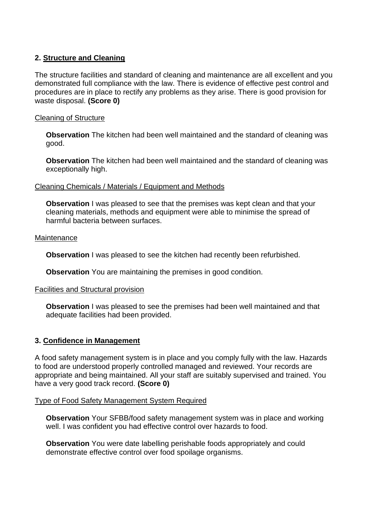# **2. Structure and Cleaning**

 procedures are in place to rectify any problems as they arise. There is good provision for The structure facilities and standard of cleaning and maintenance are all excellent and you demonstrated full compliance with the law. There is evidence of effective pest control and waste disposal. **(Score 0)** 

## Cleaning of Structure

 **Observation** The kitchen had been well maintained and the standard of cleaning was good.

 **Observation** The kitchen had been well maintained and the standard of cleaning was exceptionally high.

#### Cleaning Chemicals / Materials / Equipment and Methods

**Observation** I was pleased to see that the premises was kept clean and that your cleaning materials, methods and equipment were able to minimise the spread of harmful bacteria between surfaces.

#### **Maintenance**

**Observation** I was pleased to see the kitchen had recently been refurbished.

**Observation** You are maintaining the premises in good condition.

#### Facilities and Structural provision

 **Observation** I was pleased to see the premises had been well maintained and that adequate facilities had been provided.

## **3. Confidence in Management**

 appropriate and being maintained. All your staff are suitably supervised and trained. You A food safety management system is in place and you comply fully with the law. Hazards to food are understood properly controlled managed and reviewed. Your records are have a very good track record. **(Score 0)** 

#### Type of Food Safety Management System Required

 well. I was confident you had effective control over hazards to food. **Observation** Your SFBB/food safety management system was in place and working

 demonstrate effective control over food spoilage organisms. **Observation** You were date labelling perishable foods appropriately and could